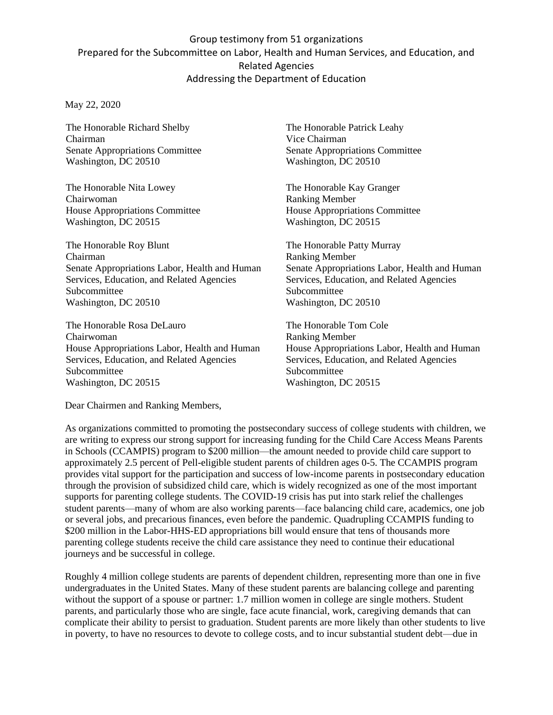## Group testimony from 51 organizations Prepared for the Subcommittee on Labor, Health and Human Services, and Education, and Related Agencies Addressing the Department of Education

## May 22, 2020

The Honorable Richard Shelby Chairman Senate Appropriations Committee Washington, DC 20510

The Honorable Nita Lowey Chairwoman House Appropriations Committee Washington, DC 20515

The Honorable Roy Blunt Chairman Senate Appropriations Labor, Health and Human Services, Education, and Related Agencies Subcommittee Washington, DC 20510

The Honorable Rosa DeLauro Chairwoman House Appropriations Labor, Health and Human Services, Education, and Related Agencies Subcommittee Washington, DC 20515

The Honorable Patrick Leahy Vice Chairman Senate Appropriations Committee Washington, DC 20510

The Honorable Kay Granger Ranking Member House Appropriations Committee Washington, DC 20515

The Honorable Patty Murray Ranking Member Senate Appropriations Labor, Health and Human Services, Education, and Related Agencies Subcommittee Washington, DC 20510

The Honorable Tom Cole Ranking Member House Appropriations Labor, Health and Human Services, Education, and Related Agencies Subcommittee Washington, DC 20515

Dear Chairmen and Ranking Members,

As organizations committed to promoting the postsecondary success of college students with children, we are writing to express our strong support for increasing funding for the Child Care Access Means Parents in Schools (CCAMPIS) program to \$200 million—the amount needed to provide child care support to approximately 2.5 percent of Pell-eligible student parents of children ages 0-5. The CCAMPIS program provides vital support for the participation and success of low-income parents in postsecondary education through the provision of subsidized child care, which is widely recognized as one of the most important supports for parenting college students. The COVID-19 crisis has put into stark relief the challenges student parents—many of whom are also working parents—face balancing child care, academics, one job or several jobs, and precarious finances, even before the pandemic. Quadrupling CCAMPIS funding to \$200 million in the Labor-HHS-ED appropriations bill would ensure that tens of thousands more parenting college students receive the child care assistance they need to continue their educational journeys and be successful in college.

Roughly 4 million college students are parents of dependent children, representing more than one in five undergraduates in the United States. Many of these student parents are balancing college and parenting without the support of a spouse or partner: 1.7 million women in college are single mothers. Student parents, and particularly those who are single, face acute financial, work, caregiving demands that can complicate their ability to persist to graduation. Student parents are more likely than other students to live in poverty, to have no resources to devote to college costs, and to incur substantial student debt—due in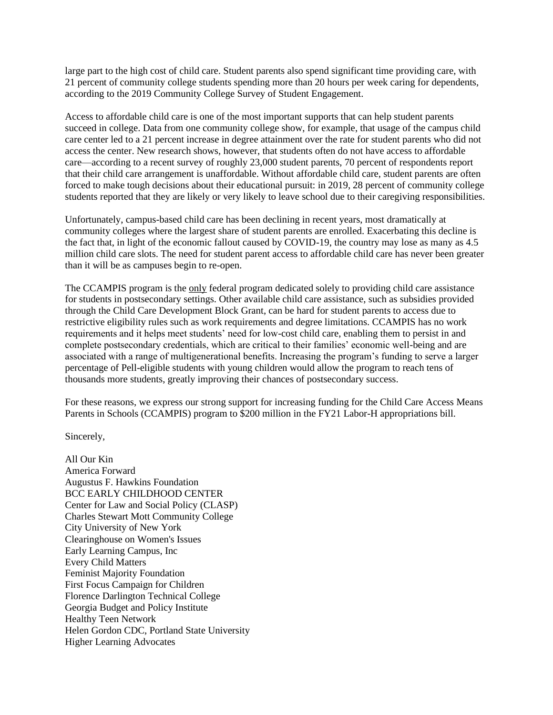large part to the high cost of child care. Student parents also spend significant time providing care, with 21 percent of community college students spending more than 20 hours per week caring for dependents, according to the 2019 Community College Survey of Student Engagement.

Access to affordable child care is one of the most important supports that can help student parents succeed in college. Data from one community college show, for example, that usage of the campus child care center led to a 21 percent increase in degree attainment over the rate for student parents who did not access the center. New research shows, however, that students often do not have access to affordable care—according to a recent survey of roughly 23,000 student parents, 70 percent of respondents report that their child care arrangement is unaffordable. Without affordable child care, student parents are often forced to make tough decisions about their educational pursuit: in 2019, 28 percent of community college students reported that they are likely or very likely to leave school due to their caregiving responsibilities.

Unfortunately, campus-based child care has been declining in recent years, most dramatically at community colleges where the largest share of student parents are enrolled. Exacerbating this decline is the fact that, in light of the economic fallout caused by COVID-19, the country may lose as many as 4.5 million child care slots. The need for student parent access to affordable child care has never been greater than it will be as campuses begin to re-open.

The CCAMPIS program is the only federal program dedicated solely to providing child care assistance for students in postsecondary settings. Other available child care assistance, such as subsidies provided through the Child Care Development Block Grant, can be hard for student parents to access due to restrictive eligibility rules such as work requirements and degree limitations. CCAMPIS has no work requirements and it helps meet students' need for low-cost child care, enabling them to persist in and complete postsecondary credentials, which are critical to their families' economic well-being and are associated with a range of multigenerational benefits. Increasing the program's funding to serve a larger percentage of Pell-eligible students with young children would allow the program to reach tens of thousands more students, greatly improving their chances of postsecondary success.

For these reasons, we express our strong support for increasing funding for the Child Care Access Means Parents in Schools (CCAMPIS) program to \$200 million in the FY21 Labor-H appropriations bill.

Sincerely,

All Our Kin America Forward Augustus F. Hawkins Foundation BCC EARLY CHILDHOOD CENTER Center for Law and Social Policy (CLASP) Charles Stewart Mott Community College City University of New York Clearinghouse on Women's Issues Early Learning Campus, Inc Every Child Matters Feminist Majority Foundation First Focus Campaign for Children Florence Darlington Technical College Georgia Budget and Policy Institute Healthy Teen Network Helen Gordon CDC, Portland State University Higher Learning Advocates